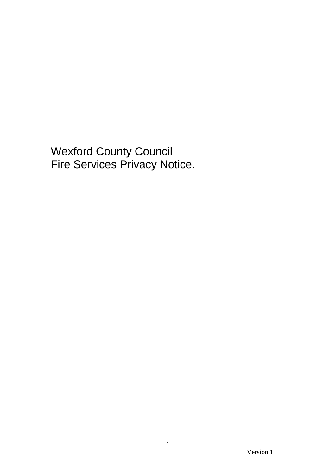Wexford County Council Fire Services Privacy Notice.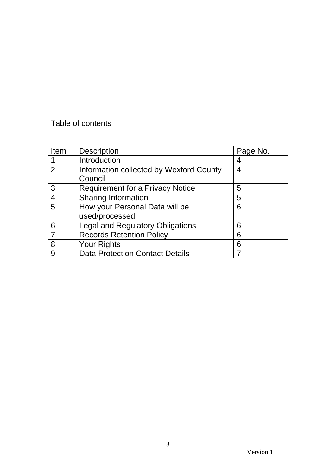# Table of contents

| Item           | <b>Description</b>                                 | Page No. |
|----------------|----------------------------------------------------|----------|
|                | Introduction                                       |          |
| $\overline{2}$ | Information collected by Wexford County<br>Council | 4        |
|                |                                                    |          |
| 3              | <b>Requirement for a Privacy Notice</b>            | 5        |
|                | <b>Sharing Information</b>                         | 5        |
| 5              | How your Personal Data will be                     | 6        |
|                | used/processed.                                    |          |
| 6              | <b>Legal and Regulatory Obligations</b>            | 6        |
|                | <b>Records Retention Policy</b>                    | 6        |
| 8              | <b>Your Rights</b>                                 | 6        |
| 9              | <b>Data Protection Contact Details</b>             |          |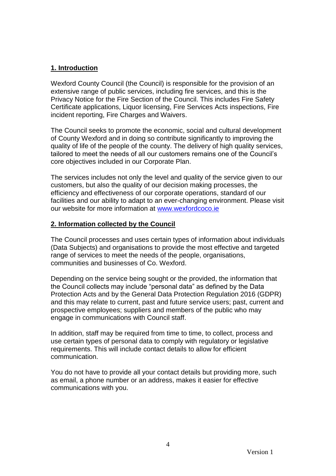### **1. Introduction**

Wexford County Council (the Council) is responsible for the provision of an extensive range of public services, including fire services, and this is the Privacy Notice for the Fire Section of the Council. This includes Fire Safety Certificate applications, Liquor licensing, Fire Services Acts inspections, Fire incident reporting, Fire Charges and Waivers.

The Council seeks to promote the economic, social and cultural development of County Wexford and in doing so contribute significantly to improving the quality of life of the people of the county. The delivery of high quality services, tailored to meet the needs of all our customers remains one of the Council's core objectives included in our Corporate Plan.

The services includes not only the level and quality of the service given to our customers, but also the quality of our decision making processes, the efficiency and effectiveness of our corporate operations, standard of our facilities and our ability to adapt to an ever-changing environment. Please visit our website for more information at [www.wexfordcoco.ie](http://www.wexfordcoco.ie/)

#### **2. Information collected by the Council**

The Council processes and uses certain types of information about individuals (Data Subjects) and organisations to provide the most effective and targeted range of services to meet the needs of the people, organisations, communities and businesses of Co. Wexford.

Depending on the service being sought or the provided, the information that the Council collects may include "personal data" as defined by the Data Protection Acts and by the General Data Protection Regulation 2016 (GDPR) and this may relate to current, past and future service users; past, current and prospective employees; suppliers and members of the public who may engage in communications with Council staff.

In addition, staff may be required from time to time, to collect, process and use certain types of personal data to comply with regulatory or legislative requirements. This will include contact details to allow for efficient communication.

You do not have to provide all your contact details but providing more, such as email, a phone number or an address, makes it easier for effective communications with you.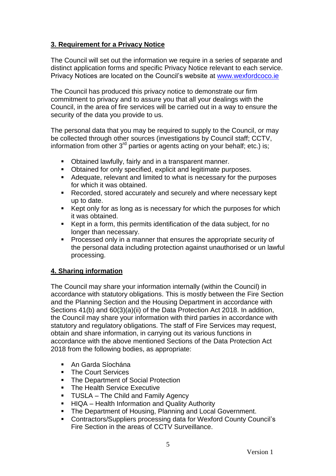## **3. Requirement for a Privacy Notice**

The Council will set out the information we require in a series of separate and distinct application forms and specific Privacy Notice relevant to each service. Privacy Notices are located on the Council's website at [www.wexfordcoco.ie](http://www.wexfordcoco.ie/)

The Council has produced this privacy notice to demonstrate our firm commitment to privacy and to assure you that all your dealings with the Council, in the area of fire services will be carried out in a way to ensure the security of the data you provide to us.

The personal data that you may be required to supply to the Council, or may be collected through other sources (investigations by Council staff; CCTV, information from other  $3<sup>rd</sup>$  parties or agents acting on your behalf; etc.) is;

- Obtained lawfully, fairly and in a transparent manner.
- Obtained for only specified, explicit and legitimate purposes.
- Adequate, relevant and limited to what is necessary for the purposes for which it was obtained.
- Recorded, stored accurately and securely and where necessary kept up to date.
- Kept only for as long as is necessary for which the purposes for which it was obtained.
- Kept in a form, this permits identification of the data subject, for no longer than necessary.
- **Processed only in a manner that ensures the appropriate security of** the personal data including protection against unauthorised or un lawful processing.

#### **4. Sharing information**

The Council may share your information internally (within the Council) in accordance with statutory obligations. This is mostly between the Fire Section and the Planning Section and the Housing Department in accordance with Sections 41(b) and 60(3)(a)(ii) of the Data Protection Act 2018. In addition, the Council may share your information with third parties in accordance with statutory and regulatory obligations. The staff of Fire Services may request, obtain and share information, in carrying out its various functions in accordance with the above mentioned Sections of the Data Protection Act 2018 from the following bodies, as appropriate:

- An Garda Síochána
- The Court Services
- The Department of Social Protection
- **The Health Service Executive**
- **TUSLA The Child and Family Agency**
- HIQA Health Information and Quality Authority
- **The Department of Housing, Planning and Local Government.**
- Contractors/Suppliers processing data for Wexford County Council's Fire Section in the areas of CCTV Surveillance.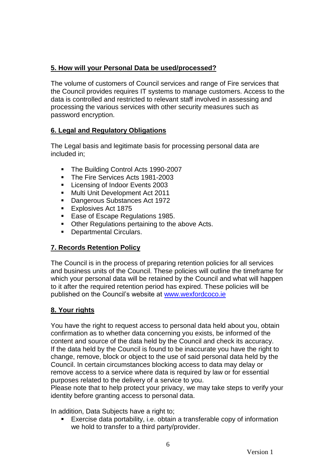## **5. How will your Personal Data be used/processed?**

The volume of customers of Council services and range of Fire services that the Council provides requires IT systems to manage customers. Access to the data is controlled and restricted to relevant staff involved in assessing and processing the various services with other security measures such as password encryption.

#### **6. Legal and Regulatory Obligations**

The Legal basis and legitimate basis for processing personal data are included in;

- The Building Control Acts 1990-2007
- The Fire Services Acts 1981-2003
- **Licensing of Indoor Events 2003**
- **Multi Unit Development Act 2011**
- **Dangerous Substances Act 1972**
- **Explosives Act 1875**
- Ease of Escape Regulations 1985.
- **Other Regulations pertaining to the above Acts.**
- **Departmental Circulars.**

# **7. Records Retention Policy**

The Council is in the process of preparing retention policies for all services and business units of the Council. These policies will outline the timeframe for which your personal data will be retained by the Council and what will happen to it after the required retention period has expired. These policies will be published on the Council's website at [www.wexfordcoco.ie](http://www.wexfordcoco.ie/)

# **8. Your rights**

You have the right to request access to personal data held about you, obtain confirmation as to whether data concerning you exists, be informed of the content and source of the data held by the Council and check its accuracy. If the data held by the Council is found to be inaccurate you have the right to change, remove, block or object to the use of said personal data held by the Council. In certain circumstances blocking access to data may delay or remove access to a service where data is required by law or for essential purposes related to the delivery of a service to you.

Please note that to help protect your privacy, we may take steps to verify your identity before granting access to personal data.

In addition, Data Subjects have a right to;

 Exercise data portability, i.e. obtain a transferable copy of information we hold to transfer to a third party/provider.